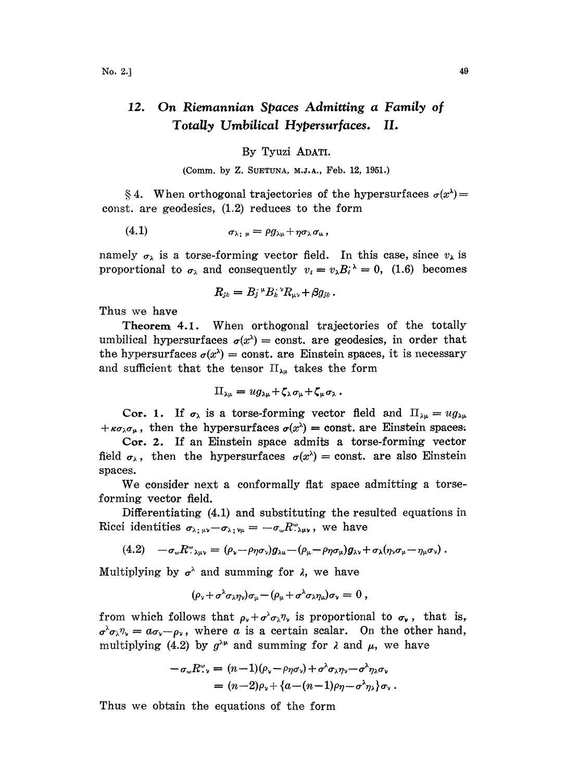## 12. On Riemannian Spaces Admitting a Family of Totally Umbilical Hypersurfaces. II.

## By Tyuzi ADATI.

(Comm. by Z. SUETUNA, M.J.A., Feb. 12, 1951.)

§ 4. When orthogonal trajectories of the hypersurfaces  $\sigma(x^{\lambda}) =$ const. are geodesics, (1.2) reduces to the form<br>
(4.1)  $\sigma_{\lambda; \mu} = \rho g_{\lambda\mu} + \eta \sigma_{\lambda} \sigma_{\mu}$ ,

$$
(4.1) \t\t \sigma_{\lambda;\ \mu} = \rho g_{\lambda\mu} + \eta \sigma_{\lambda} \sigma_{\mu},
$$

namely  $\sigma_{\lambda}$  is a torse-forming vector field. In this case, since  $v_{\lambda}$  is proportional to  $\sigma_{\lambda}$  and consequently  $v_i = v_{\lambda}B_i^{\lambda} = 0$ , (1.6) becomes

$$
R_{jk} = B_j^{\mu} B_k^{\nu} R_{\mu\nu} + \beta g_{jk}.
$$

Thus we have

Theorem 4.1. When orthogonal trajectories of the totally umbilical hypersurfaces  $\sigma(x^{\lambda})$  = const, are geodesics, in order that the hypersurfaces  $\sigma(x^{\lambda})$  = const. are Einstein spaces, it is necessary and sufficient that the tensor  $\Pi_{\lambda\mu}$  takes the form

$$
\Pi_{\lambda\mu}=ug_{\lambda\mu}+\zeta_{\lambda}\sigma_{\mu}+\zeta_{\mu}\sigma_{\lambda}.
$$

Cor. 1. If  $\sigma_{\lambda}$  is a torse-forming vector field and  $\Pi_{\lambda\mu} = u g_{\lambda\mu}$  $+\kappa \sigma_{\lambda} \sigma_{\mu}$ , then the hypersurfaces  $\sigma(x^{\lambda})$  = const. are Einstein spaces.

Cor. 2. If an Einstein space admits a torse-forming vector field  $\sigma_{\lambda}$ , then the hypersurfaces  $\sigma(x^{\lambda})$  const. are also Einstein spaces.

We consider next <sup>a</sup> conformally flat space admitting <sup>a</sup> torseforming vector field.

Differentiating (4.1) and substituting the resulted equations in Ricci identities  $\sigma_{\lambda;\mu\nu} - \sigma_{\lambda;\nu\mu} = -\sigma_{\omega}R^{\omega}_{\lambda;\mu\nu}$ , we have

$$
(4.2) \t -\sigma_{\omega}R^{\omega}_{\lambda\mu\nu} = (\rho_{\nu} - \rho_{\eta}\sigma_{\nu})g_{\lambda\mu} - (\rho_{\mu} - \rho_{\eta}\sigma_{\mu})g_{\lambda\nu} + \sigma_{\lambda}(\eta_{\nu}\sigma_{\mu} - \eta_{\mu}\sigma_{\nu}).
$$

Multiplying by  $\sigma^{\lambda}$  and summing for  $\lambda$ , we have<br>  $(\rho_{\nu} + \sigma^{\lambda}\sigma_{\lambda}\eta_{\nu})\sigma_{\mu} - (\rho_{\mu} + \sigma^{\lambda}\sigma_{\lambda}\eta_{\mu})\sigma_{\nu} = 0$ ,

$$
(\rho_{\nu} + \sigma^{\lambda} \sigma_{\lambda} \eta_{\nu}) \sigma_{\mu} - (\rho_{\mu} + \sigma^{\lambda} \sigma_{\lambda} \eta_{\mu}) \sigma_{\nu} = 0,
$$

from which follows that  $\rho_{\nu} + \sigma^{\lambda} \sigma_{\lambda} \eta_{\nu}$  is proportional to  $\sigma_{\nu}$ , that is,  $\sigma^2 \sigma_\lambda \nu = a \sigma_\nu - \rho_\nu$ , where a is a certain scalar. On the other hand, multiplying (4.2) by  $g^{\lambda\mu}$  and summing for  $\lambda$  and  $\mu$ , we have

$$
-\sigma_{\omega}R^{\omega}_{\cdot\nu} = (n-1)(\rho_{\nu}-\rho_{\eta}\sigma_{\nu}) + \sigma^{\lambda}\sigma_{\lambda}\eta_{\nu} - \sigma^{\lambda}\eta_{\lambda}\sigma_{\nu}
$$
  
= 
$$
(n-2)\rho_{\nu} + \{a - (n-1)\rho_{\eta} - \sigma^{\lambda}\eta_{\lambda}\}\sigma_{\nu}.
$$

Thus we obtain the equations of the form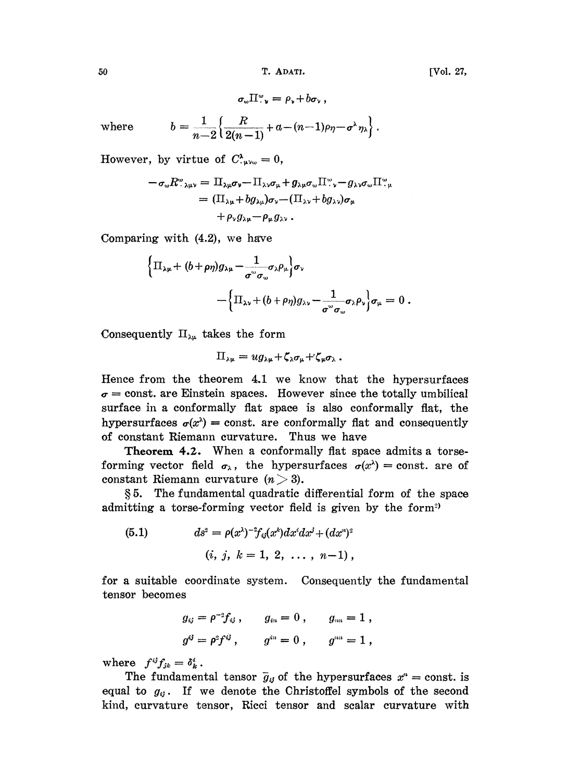50 T. ADATI. [Vol. 27,

 $\sigma_{\omega} \Pi^{\omega}_{\nu} = \rho_{\nu} + b \sigma_{\nu}$ , where  $\frac{1}{n-2}\Bigl\{\frac{R}{2(n-1)} + a - (n-1)\rho_{\eta} - \sigma^{\lambda}\eta_{\lambda}\Bigr\}\,.$ 

However, by virtue of  $C_{\mu\nu\omega}^{\lambda} = 0$ ,

$$
- \sigma_{\omega} R^{\omega}_{\ \lambda\mu\nu} = \Pi_{\lambda\mu} \sigma_{\nu} - \Pi_{\lambda\nu} \sigma_{\mu} + g_{\lambda\mu} \sigma_{\omega} \Pi^{\omega}_{\ \nu} - g_{\lambda\nu} \sigma_{\omega} \Pi^{\omega}_{\ \nu}
$$
  
= 
$$
(\Pi_{\lambda\mu} + bg_{\lambda\mu}) \sigma_{\nu} - (\Pi_{\lambda\nu} + bg_{\lambda\nu}) \sigma_{\mu}
$$

$$
+ \rho_{\nu} g_{\lambda\mu} - \rho_{\mu} g_{\lambda\nu} .
$$

Comparing with  $(4.2)$ , we have

$$
\left\{\Pi_{\lambda\mu}+(b+\rho\eta)g_{\lambda\mu}-\frac{1}{\sigma^{\omega}\sigma_{\omega}}\sigma_{\lambda}\rho_{\mu}\right\}\sigma_{\nu} -\left\{\Pi_{\lambda\nu}+(b+\rho\eta)g_{\lambda\nu}-\frac{1}{\sigma^{\omega}\sigma_{\omega}}\sigma_{\lambda}\rho_{\nu}\right\}\sigma_{\mu}=0.
$$

Consequently  $\mathcal{H}_{\lambda\mu}$  takes the form

$$
\Pi_{\lambda\mu}=ug_{\lambda\mu}+\zeta_{\lambda}\sigma_{\mu}+\zeta_{\mu}\sigma_{\lambda}.
$$

Hence from the theorem 4.1 we know that the hypersurfaces  $\sigma$  = const. are Einstein spaces. However since the totally umbilical surface in a conformally flat space is also conformally flat, the hypersurfaces  $\sigma(x^{\lambda})$  = const. are conformally flat and consequently of constant Riemann curvature. Thus we have

Theorem 4.2. When a conformally flat space admits a torseforming vector field  $\sigma_{\lambda}$ , the hypersurfaces  $\sigma(x^{\lambda})$  const, are of constant Riemann curvature  $(n > 3)$ .

5. The fundamental quadratic differential form of the space admitting a torse-forming vector field is given by the form<sup>2</sup>

(5.1) 
$$
ds^{2} = \rho(x^{\lambda})^{-2} f_{ij}(x^{k}) dx^{i} dx^{j} + (dx^{n})^{2}
$$

$$
(i, j, k = 1, 2, ..., n-1),
$$

for a suitable coordinate system. Consequently the fundamental tensor becomes

$$
g_{ij} = \rho^{-2} f_{ij} , \qquad g_{in} = 0 , \qquad g_{nn} = 1 ,
$$
  

$$
g^{ij} = \rho^{2} f^{ij} , \qquad g^{in} = 0 , \qquad g^{nn} = 1 ,
$$

where  $f^{ij}f_{jk} = \delta^i_k$ .

The fundamental tensor  $\bar{g}_{ij}$  of the hypersurfaces  $x^* = \text{const.}$  is equal to  $g_{ij}$ . If we denote the Christoffel symbols of the second kind, curvature tensor, Ricci tensor and scalar curvature with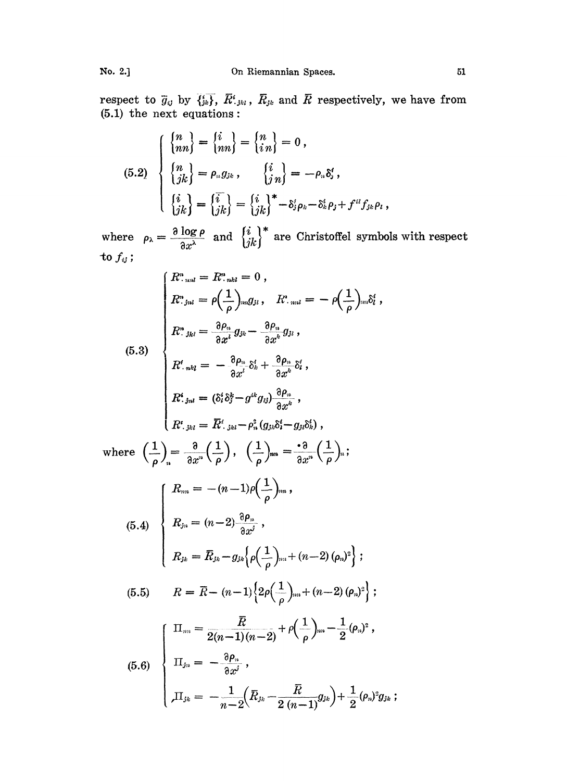respect to  $\overline{g}_i$  by  $\overline{\{j_k\}}$ ,  $\overline{R}$ ,  $\overline{R}$ , and  $\overline{R}$  respectively, we have from (5.1) the next equations:

(5.2) 
$$
\begin{cases} \begin{cases} n \\ nn \end{cases} = \begin{cases} i \\ in \end{cases} = \begin{cases} n \\ in \end{cases} = 0, \\ \begin{cases} \begin{cases} n \\ jk \end{cases} = \rho_n g_{j_k}, \\ \begin{cases} i \\ jn \end{cases} = -\rho_n \delta'_j, \\ \begin{cases} i \\ jk \end{cases} = \begin{cases} \overline{i} \\ jk \end{cases} = \begin{cases} i \\ jk \end{cases}^* - \delta'_j \rho_k - \delta'_k \rho_j + f^{il} f_{jk} \rho_l, \end{cases}
$$

where  $\rho_{\lambda} = \frac{\partial \log \rho}{\partial x^{\lambda}}$  and  $\begin{Bmatrix} i \\ jk \end{Bmatrix}^*$  are Christoffel symbols with respect to  $f_{ij}$ ;

$$
\begin{cases}\nR_{\cdot\,ml}^{n} = R_{\cdot\,nl}^{n} = 0, \\
R_{\cdot\,jnl}^{n} = \rho\left(\frac{1}{\rho}\right)_{m}g_{jl}, \quad R_{\cdot\,ml}^{n} = -\rho\left(\frac{1}{\rho}\right)_{m}\delta_{l}^{i}, \\
R_{\cdot\,jkl}^{n} = \frac{\partial\rho_{n}}{\partial x^{i}}g_{jk} - \frac{\partial\rho_{n}}{\partial x^{k}}g_{jl}, \\
R_{\cdot\,nl}^{i} = -\frac{\partial\rho_{n}}{\partial x^{i}}\delta_{k}^{i} + \frac{\partial\rho_{n}}{\partial x^{k}}\delta_{l}^{i}, \\
R_{\cdot\,jnl}^{i} = (\delta_{l}^{i}\delta_{j}^{k} - g^{ik}g_{ij})\frac{\partial\rho_{n}}{\partial x^{k}}, \\
R_{\cdot\,jkl}^{i} = R_{\cdot\,jkl}^{i} - \rho_{n}^{2}(g_{jk}\delta_{l}^{i} - g_{jl}\delta_{k}^{i}), \\
(1) \qquad \partial_{l}^{i}(1) = -\frac{\partial\rho_{l}}{\partial x^{i}}(1) \end{cases}
$$

where  $\left(\frac{1}{\rho}\right)_n = \frac{\partial}{\partial x^n} \left(\frac{1}{\rho}\right), \ \left(\frac{1}{\rho}\right)_{n} = \frac{\partial}{\partial x^n} \left(\frac{1}{\rho}\right)_n;$  $PR_{n} = -\frac{(n-1)n}{1}$ 

(5.4)  

$$
\begin{cases}\nR_{nn} = -(n-1)\rho(-\frac{1}{\rho})_{nn}, \\
R_{jn} = (n-2)\frac{\partial \rho_n}{\partial x^j}, \\
R_{jk} = \overline{R}_{jk} - g_{jk} \Big\{ \rho(-\frac{1}{\rho})_{nn} + (n-2) (\rho_n)^2 \Big\}; \\
\end{cases}
$$

(5.5) 
$$
R = \overline{R} - (n-1) \left\{ 2\rho \left( \frac{1}{\rho} \right)_{mn} + (n-2) (\rho_n)^2 \right\};
$$

$$
\left(\begin{array}{c} \Pi_{\scriptscriptstyle n n}=\dfrac{\overline{R}}{2(n\!-\!1)(n\!-\!2)}\!+\!\rho\!\Big(\dfrac{1}{\rho}\Big)_{\!\scriptscriptstyle n n}\!-\!\dfrac{1}{2}(\rho_{\scriptscriptstyle n})^{\scriptscriptstyle 2} \, ,\end{array}\right.
$$

$$
(5.6) \left\{\n \begin{array}{l}\n \Pi_{j_n} = -\frac{\partial \rho_n}{\partial x^j}, \\
 \prod_{jk} = -\frac{1}{n-2} \Big( \bar{R}_{jk} - \frac{\bar{R}}{2(n-1)} g_{jk} \Big) + \frac{1}{2} (\rho_n)^2 g_{jk};\n \end{array}\n\right.
$$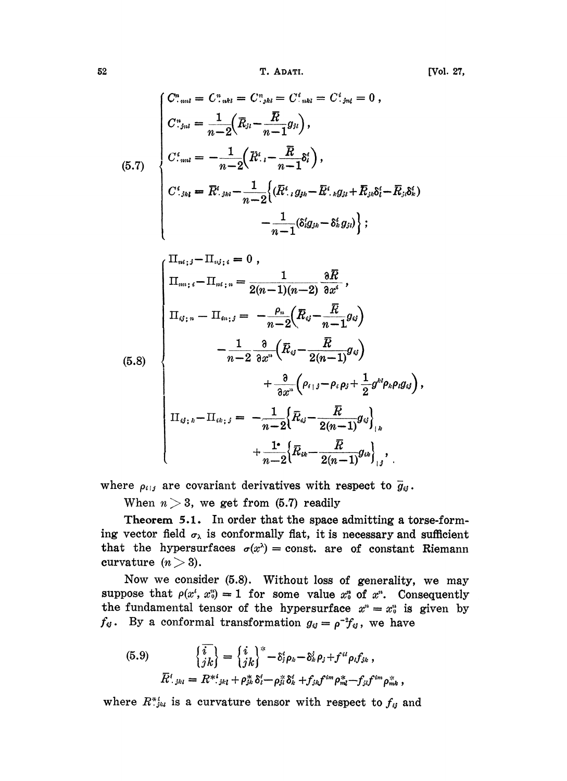T. ADATI.

(5.7)  

$$
\begin{cases}\nC_{\cdot \, tml}^{*} = C_{\cdot \, thl}^{*} = C_{\cdot \, shl}^{*} = C_{\cdot \, shl}^{i} = C_{\cdot \, shl}^{i} = 0, \\
C_{\cdot \, shl}^{*} = \frac{1}{n-2} (\bar{R}_{jl} - \frac{\bar{R}}{n-1} g_{jl}), \\
C_{\cdot \, mhl}^{i} = -\frac{1}{n-2} (\bar{R}_{\cdot \, l}^{i} - \frac{\bar{R}}{n-1} \delta_{l}^{i}), \\
C_{\cdot \, shl}^{i} = \bar{R}_{\cdot \, jhl}^{i} - \frac{1}{n-2} \{ (\bar{R}_{\cdot \, l}^{i} g_{jk} - \bar{R}_{\cdot \, k}^{i} g_{jl} + \bar{R}_{jk} \delta_{l}^{i} - \bar{R}_{jl}^{i} \delta_{k}^{i}) \\
& - \frac{1}{n-1} (\delta_{l}^{i} g_{jk} - \delta_{k}^{i} g_{jl}) \};\n\end{cases}
$$

$$
\Pi_{m_{i},j}-\Pi_{nj;i}=0,
$$
\n
$$
\Pi_{mn_{i},i}-\Pi_{ni;n}=\frac{1}{2(n-1)(n-2)}\frac{\partial \overline{R}}{\partial x^{i}},
$$
\n
$$
\Pi_{ij;n}-\Pi_{in;j}=-\frac{\rho_{n}}{n-2}\left(\overline{R}_{ij}-\frac{\overline{R}}{n-1}g_{ij}\right)
$$
\n
$$
-\frac{1}{n-2}\frac{\partial}{\partial x^{n}}\left(\overline{R}_{ij}-\frac{\overline{R}}{2(n-1)}g_{ij}\right)
$$
\n
$$
+\frac{\partial}{\partial x^{n}}\left(\rho_{i,j}-\rho_{i}\rho_{j}+\frac{1}{2}g^{kl}\rho_{k}\rho_{i}g_{ij}\right),
$$
\n
$$
\Pi_{ij;k}-\Pi_{ik;j}=-\frac{1}{n-2}\left\{\overline{R}_{ij}-\frac{\overline{R}}{2(n-1)}g_{ij}\right\}_{i,k}
$$
\n
$$
+\frac{1}{n-2}\left\{\overline{R}_{ik}-\frac{\overline{R}}{2(n-1)}g_{ik}\right\}_{i,j}.
$$

where  $\rho_{i,j}$  are covariant derivatives with respect to  $\bar{g}_{ij}$ .

When  $n > 3$ , we get from (5.7) readily

Theorem 5.1. In order that the space admitting a torse-forming vector field  $\sigma_{\lambda}$  is conformally flat, it is necessary and sufficient that the hypersurfaces  $\sigma(x^{\lambda})$  const, are of constant Riemann curvature  $(n > 3)$ .

Now we consider (5.8). Without loss of generality, we may suppose that  $\rho(x^i, x^i) = 1$  for some value  $x^i$  of  $x^i$ . Consequently the fundamental tensor of the hypersurface  $x^* = x_0^*$  is given by  $f_{\mathcal{Y}}$ . By a conformal transformation  $g_{\mathcal{Y}} = \rho^{-2} f_{\mathcal{Y}}$ , we have

(5.9) 
$$
\begin{aligned}\n\left\{\frac{i}{j k}\right\} &= \left\{\frac{i}{j k}\right\}^* - \delta_j^* \rho_k - \delta_k^j \rho_j + f^{ij} \rho_i f_{jk} \,, \\
R^i_{j k l} &= R^{*i}{}_{j k l} + \rho_{j k}^* \delta_l^i - \rho_{j l}^* \delta_k^i + f_{j k} f^{i m} \rho_{m l}^* - f_{j l} f^{i m} \rho_{m k}^* \,,\n\end{aligned}
$$

where  $R^{*i}_{ijkl}$  is a curvature tensor with respect to  $f_{ij}$  and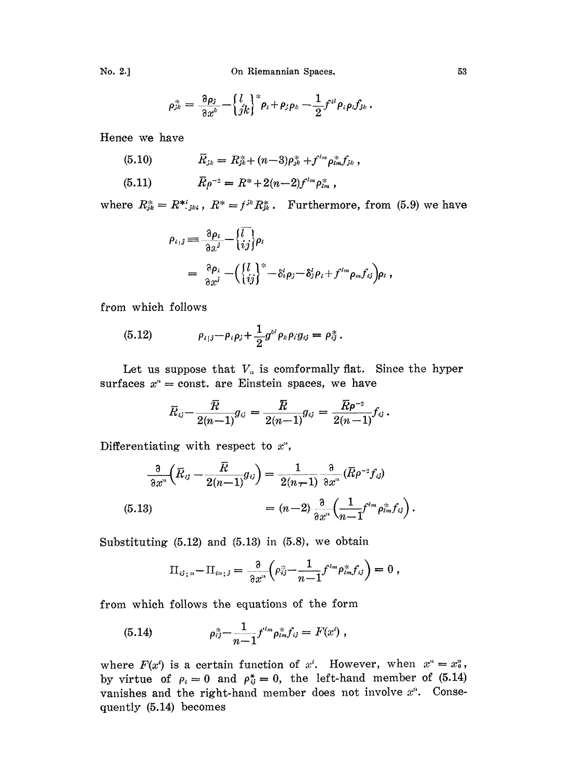No. 2.] On Riemannian Spaces.

$$
\rho^*_{jk} = \frac{\mathfrak{d}\rho_j}{\mathfrak{d}x^k} - \left\{\frac{l}{jk}\right\}^* \rho_l + \rho_j \rho_k - \frac{1}{2} f^{il} \rho_i \rho_l f_{jk}.
$$

Hence we have

(5.10) 
$$
\overline{R}_{jk} = R_{jk}^* + (n-3)\rho_{jk}^* + f^{lm}\rho_{lm}^*f_{jk},
$$

(5.11) 
$$
\overline{R}\rho^{-2} = R^* + 2(n-2)f^{lm}\rho_{lm}^*,
$$

where  $R_{jk}^* = R^{*i}_{jki}$ ,  $R^* = f^{jk}R_{jk}^*$ . Furthermore, from (5.9) we have

$$
\rho_{i,j} = \frac{\partial \rho_i}{\partial x^j} - \left\{ \overline{i_j} \right\} \rho_i
$$
  
= 
$$
\frac{\partial \rho_i}{\partial x^j} - \left( \left\{ \frac{l}{ij} \right\}^* - \delta_i^i \rho_j - \delta_j^i \rho_i + f^{im} \rho_m f_{ij} \right) \rho_i
$$

from which follows

(5.12) 
$$
\rho_{i|j} - \rho_i \rho_j + \frac{1}{2} g^{kl} \rho_k \rho_l g_{ij} = \rho_{ij}^*.
$$

Let us suppose that  $V_n$  is comformally flat. Since the hyper surfaces  $x^* = \text{const.}$  are Einstein spaces, we have

$$
\overline{R}_{\pmb{\psi}}{-}\frac{\overline{R}}{2(n\!-\!1)}g_{\pmb{\psi}}=\frac{\overline{R}}{2(n\!-\!1)}g_{\pmb{\psi}}=\frac{\overline{R}\rho^{-\mathfrak{s}}}{2(n\!-\!1)}f_{\pmb{\psi}}\,.
$$

Differentiating with respect to  $x^{\nu}$ ,

$$
\frac{\partial}{\partial x^n} \left( \overline{R}_{ij} - \frac{R}{2(n-1)} g_{ij} \right) = \frac{1}{2(n-1)} \frac{\partial}{\partial x^n} (\overline{R} \rho^{-2} f_{ij})
$$
\n
$$
(5.13) \qquad \qquad = (n-2) \frac{\partial}{\partial x^n} \left( \frac{1}{n-1} f^{lm} \rho_{lm}^* f_{ij} \right).
$$

Substituting  $(5.12)$  and  $(5.13)$  in  $(5.8)$ , we obtain

$$
\Pi_{ij\,;\,n} - \Pi_{in\,;\,j} = \frac{\partial}{\partial x^n} \left( \rho_{ij}^{\alpha} - \frac{1}{n-1} f^{lm} \rho_{lm}^{\alpha} f_{ij} \right) = 0,
$$

from which follows the equations of the form

(5.14) 
$$
\rho_{ij}^* - \frac{1}{n-1} f^{i_m} \rho_{im}^* f_{ij} = F(x^i) ,
$$

where  $F(x^i)$  is a certain function of  $x^i$ . However, when  $x^i = x_0^i$ , by virtue of  $\rho_i = 0$  and  $\rho_{ij}^* = 0$ , the left-hand member of (5.14) vanishes and the right-hand member does not involve  $x<sup>n</sup>$ . Consequently (5.14) becomes

53